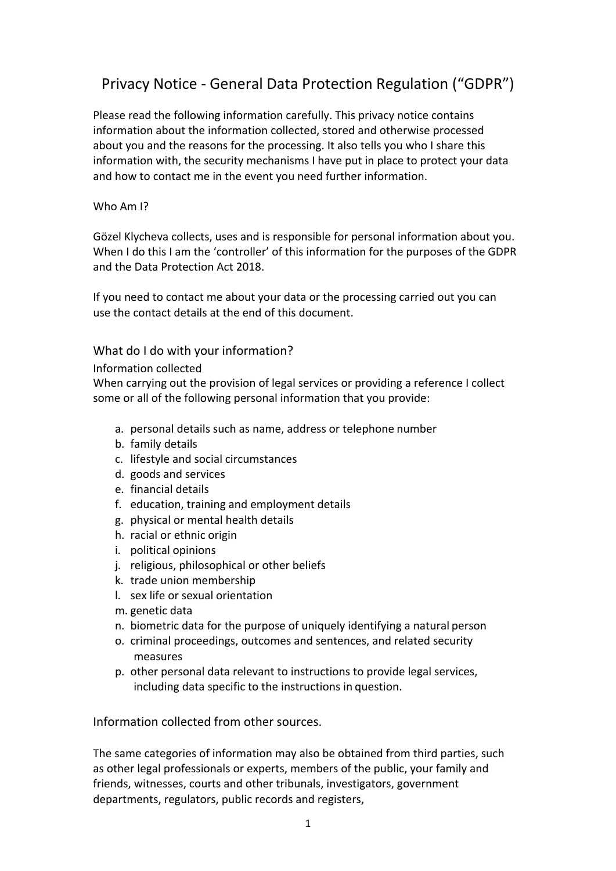# Privacy Notice - General Data Protection Regulation ("GDPR")

Please read the following information carefully. This privacy notice contains information about the information collected, stored and otherwise processed about you and the reasons for the processing. It also tells you who I share this information with, the security mechanisms I have put in place to protect your data and how to contact me in the event you need further information.

#### Who Am I?

Gözel Klycheva collects, uses and is responsible for personal information about you. When I do this I am the 'controller' of this information for the purposes of the GDPR and the Data Protection Act 2018.

If you need to contact me about your data or the processing carried out you can use the contact details at the end of this document.

## What do I do with your information?

#### Information collected

When carrying out the provision of legal services or providing a reference I collect some or all of the following personal information that you provide:

- a. personal details such as name, address or telephone number
- b. family details
- c. lifestyle and social circumstances
- d. goods and services
- e. financial details
- f. education, training and employment details
- <span id="page-0-0"></span>g. physical or mental health details
- h. racial or ethnic origin
- i. political opinions
- j. religious, philosophical or other beliefs
- k. trade union membership
- l. sex life or sexual orientation
- m. genetic data
- n. biometric data for the purpose of uniquely identifying a natural person
- <span id="page-0-1"></span>o. criminal proceedings, outcomes and sentences, and related security measures
- p. other personal data relevant to instructions to provide legal services, including data specific to the instructions in question.

Information collected from other sources.

The same categories of information may also be obtained from third parties, such as other legal professionals or experts, members of the public, your family and friends, witnesses, courts and other tribunals, investigators, government departments, regulators, public records and registers,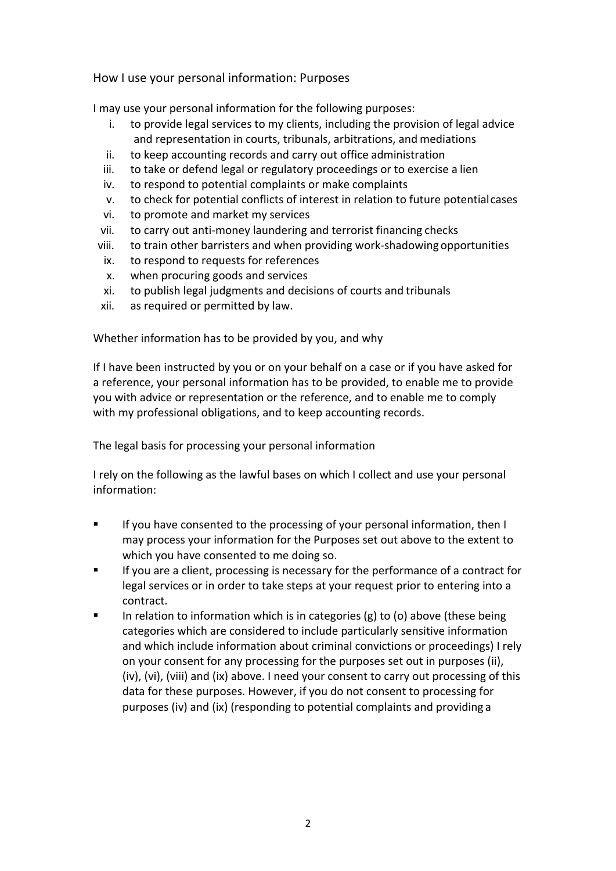How I use your personal information: Purposes

I may use your personal information for the following purposes:

- i. to provide legal services to my clients, including the provision of legal advice and representation in courts, tribunals, arbitrations, and mediations
- <span id="page-1-0"></span>ii. to keep accounting records and carry out office administration
- iii. to take or defend legal or regulatory proceedings or to exercise a lien
- <span id="page-1-1"></span>iv. to respond to potential complaints or make complaints
- v. to check for potential conflicts of interest in relation to future potentialcases
- <span id="page-1-2"></span>vi. to promote and market my services
- vii. to carry out anti-money laundering and terrorist financing checks
- <span id="page-1-3"></span>viii. to train other barristers and when providing work-shadowing opportunities
- <span id="page-1-4"></span>ix. to respond to requests for references
- x. when procuring goods and services
- xi. to publish legal judgments and decisions of courts and tribunals
- xii. as required or permitted by law.

Whether information has to be provided by you, and why

If I have been instructed by you or on your behalf on a case or if you have asked for a reference, your personal information has to be provided, to enable me to provide you with advice or representation or the reference, and to enable me to comply with my professional obligations, and to keep accounting records.

The legal basis for processing your personal information

I rely on the following as the lawful bases on which I collect and use your personal information:

- **If you have consented to the processing of your personal information, then I** may process your information for the Purposes set out above to the extent to which you have consented to me doing so.
- **If you are a client, processing is necessary for the performance of a contract for** legal services or in order to take steps at your request prior to entering into a contract.
- **IFED 12** In relation to information which is in categories [\(g\)](#page-0-0) to [\(o\)](#page-0-1) above (these being categories which are considered to include particularly sensitive information and which include information about criminal convictions or proceedings) I rely on your consent for any processing for the purposes set out in purposes [\(ii\)](#page-1-0), [\(iv\)](#page-1-1), [\(vi\)](#page-1-2), [\(viii\)](#page-1-3) and [\(ix\)](#page-1-4) above. I need your consent to carry out processing of this data for these purposes. However, if you do not consent to processing for purposes [\(iv\)](#page-1-1) and [\(ix\)](#page-1-4) (responding to potential complaints and providing a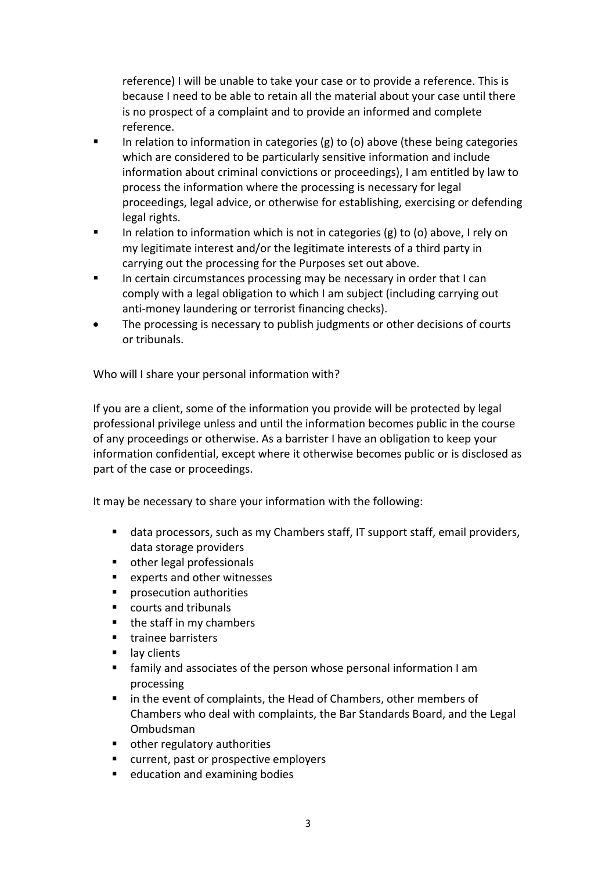reference) I will be unable to take your case or to provide a reference. This is because I need to be able to retain all the material about your case until there is no prospect of a complaint and to provide an informed and complete reference.

- In relation to information in categories  $(g)$  to [\(o\)](#page-0-1) above (these being categories which are considered to be particularly sensitive information and include information about criminal convictions or proceedings), I am entitled by law to process the information where the processing is necessary for legal proceedings, legal advice, or otherwise for establishing, exercising or defending legal rights.
- In relation to information which is not in categories [\(g\)](#page-0-0) to [\(o\)](#page-0-1) above, I rely on my legitimate interest and/or the legitimate interests of a third party in carrying out the processing for the Purposes set out above.
- In certain circumstances processing may be necessary in order that I can comply with a legal obligation to which I am subject (including carrying out anti-money laundering or terrorist financing checks).
- The processing is necessary to publish judgments or other decisions of courts or tribunals.

Who will I share your personal information with?

If you are a client, some of the information you provide will be protected by legal professional privilege unless and until the information becomes public in the course of any proceedings or otherwise. As a barrister I have an obligation to keep your information confidential, except where it otherwise becomes public or is disclosed as part of the case or proceedings.

It may be necessary to share your information with the following:

- data processors, such as my Chambers staff, IT support staff, email providers, data storage providers
- other legal professionals
- experts and other witnesses
- prosecution authorities
- courts and tribunals
- $\blacksquare$  the staff in my chambers
- **trainee barristers**
- lay clients
- family and associates of the person whose personal information I am processing
- **I** in the event of complaints, the Head of Chambers, other members of Chambers who deal with complaints, the Bar Standards Board, and the Legal Ombudsman
- other regulatory authorities
- **EXECUTE:** current, past or prospective employers
- **education and examining bodies**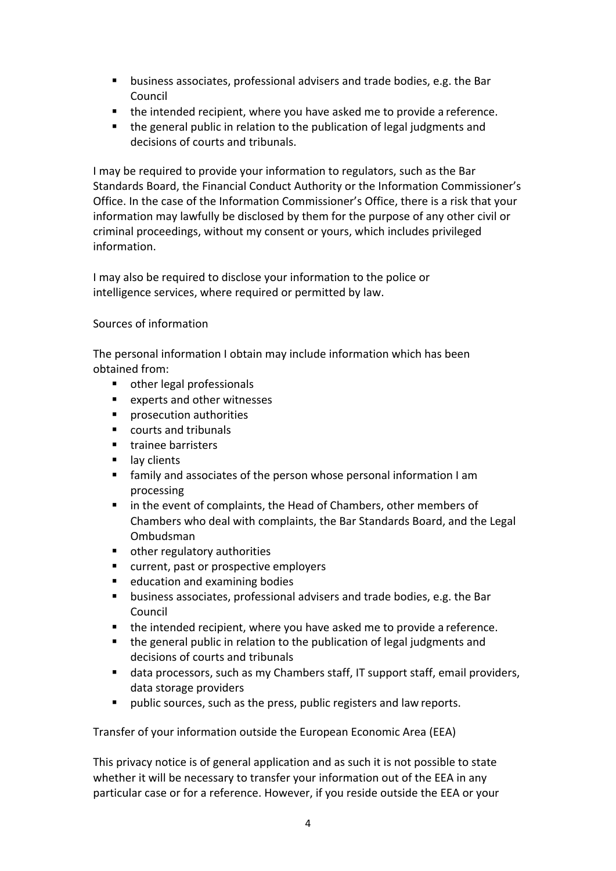- business associates, professional advisers and trade bodies, e.g. the Bar Council
- **the intended recipient, where you have asked me to provide a reference.**
- the general public in relation to the publication of legal judgments and decisions of courts and tribunals.

I may be required to provide your information to regulators, such as the Bar Standards Board, the Financial Conduct Authority or the Information Commissioner's Office. In the case of the Information Commissioner's Office, there is a risk that your information may lawfully be disclosed by them for the purpose of any other civil or criminal proceedings, without my consent or yours, which includes privileged information.

I may also be required to disclose your information to the police or intelligence services, where required or permitted by law.

## Sources of information

The personal information I obtain may include information which has been obtained from:

- other legal professionals
- experts and other witnesses
- **P** prosecution authorities
- courts and tribunals
- trainee barristers
- **I** lay clients
- family and associates of the person whose personal information I am processing
- in the event of complaints, the Head of Chambers, other members of Chambers who deal with complaints, the Bar Standards Board, and the Legal Ombudsman
- other regulatory authorities
- **E** current, past or prospective employers
- education and examining bodies
- business associates, professional advisers and trade bodies, e.g. the Bar Council
- the intended recipient, where you have asked me to provide a reference.
- the general public in relation to the publication of legal judgments and decisions of courts and tribunals
- data processors, such as my Chambers staff, IT support staff, email providers, data storage providers
- public sources, such as the press, public registers and law reports.

Transfer of your information outside the European Economic Area (EEA)

This privacy notice is of general application and as such it is not possible to state whether it will be necessary to transfer your information out of the EEA in any particular case or for a reference. However, if you reside outside the EEA or your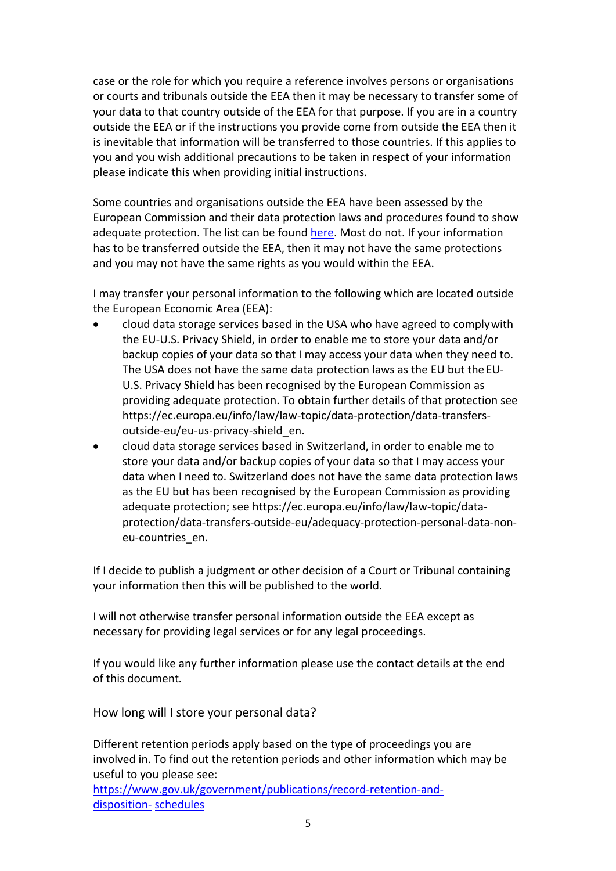case or the role for which you require a reference involves persons or organisations or courts and tribunals outside the EEA then it may be necessary to transfer some of your data to that country outside of the EEA for that purpose. If you are in a country outside the EEA or if the instructions you provide come from outside the EEA then it is inevitable that information will be transferred to those countries. If this applies to you and you wish additional precautions to be taken in respect of your information please indicate this when providing initial instructions.

Some countries and organisations outside the EEA have been assessed by the European Commission and their data protection laws and procedures found to show adequate protection. The list can be found [here.](https://ec.europa.eu/info/law/law-topic/data-protection/data-transfers-outside-eu/adequacy-protection-personal-data-non-eu-countries_en#dataprotectionincountriesoutsidetheeu) Most do not. If your information has to be transferred outside the EEA, then it may not have the same protections and you may not have the same rights as you would within the EEA.

I may transfer your personal information to the following which are located outside the European Economic Area (EEA):

- cloud data storage services based in the USA who have agreed to complywith the EU-U.S. Privacy Shield, in order to enable me to store your data and/or backup copies of your data so that I may access your data when they need to. The USA does not have the same data protection laws as the EU but the EU-U.S. Privacy Shield has been recognised by the European Commission as providing adequate protection. To obtain further details of that protection see https://ec.europa.eu/info/law/law-topic/data-protection/data-transfersoutside-eu/eu-us-privacy-shield\_en.
- cloud data storage services based in Switzerland, in order to enable me to store your data and/or backup copies of your data so that I may access your data when I need to. Switzerland does not have the same data protection laws as the EU but has been recognised by the European Commission as providing adequate protection; see https://ec.europa.eu/info/law/law-topic/dataprotection/data-transfers-outside-eu/adequacy-protection-personal-data-noneu-countries\_en.

If I decide to publish a judgment or other decision of a Court or Tribunal containing your information then this will be published to the world.

I will not otherwise transfer personal information outside the EEA except as necessary for providing legal services or for any legal proceedings.

If you would like any further information please use the contact details at the end of this document*.*

How long will I store your personal data?

Different retention periods apply based on the type of proceedings you are involved in. To find out the retention periods and other information which may be useful to you please see:

[https://www.gov.uk/government/publications/record-retention-and](https://www.gov.uk/government/publications/record-retention-and-disposition-schedules)[disposition-](https://www.gov.uk/government/publications/record-retention-and-disposition-schedules) [schedules](https://www.gov.uk/government/publications/record-retention-and-disposition-schedules)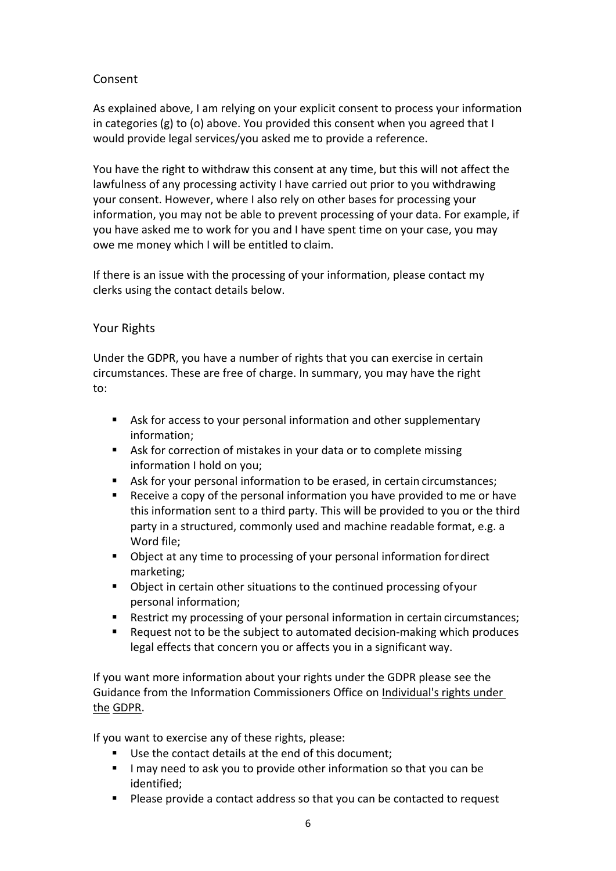## Consent

As explained above, I am relying on your explicit consent to process your information in categories [\(g\)](#page-0-0) to [\(o\)](#page-0-1) above. You provided this consent when you agreed that  $I$ would provide legal services/you asked me to provide a reference.

You have the right to withdraw this consent at any time, but this will not affect the lawfulness of any processing activity I have carried out prior to you withdrawing your consent. However, where I also rely on other bases for processing your information, you may not be able to prevent processing of your data. For example, if you have asked me to work for you and I have spent time on your case, you may owe me money which I will be entitled to claim.

If there is an issue with the processing of your information, please contact my clerks using the contact details below.

## Your Rights

Under the GDPR, you have a number of rights that you can exercise in certain circumstances. These are free of charge. In summary, you may have the right to:

- Ask for access to your personal information and other supplementary information;
- Ask for correction of mistakes in your data or to complete missing information I hold on you;
- Ask for your personal information to be erased, in certain circumstances;
- Receive a copy of the personal information you have provided to me or have this information sent to a third party. This will be provided to you or the third party in a structured, commonly used and machine readable format, e.g. a Word file;
- Object at any time to processing of your personal information fordirect marketing;
- Object in certain other situations to the continued processing ofyour personal information;
- Restrict my processing of your personal information in certain circumstances;
- Request not to be the subject to automated decision-making which produces legal effects that concern you or affects you in a significant way.

If you want more information about your rights under the GDPR please see the Guidance from the Information Commissioners Office on [Individual's rights under](http://ico.org.uk/for-organisations/guide-to-the-general-data-protection-regulation-gdpr/individual-rights/)  [the](http://ico.org.uk/for-organisations/guide-to-the-general-data-protection-regulation-gdpr/individual-rights/) [GDPR.](http://ico.org.uk/for-organisations/guide-to-the-general-data-protection-regulation-gdpr/individual-rights/)

If you want to exercise any of these rights, please:

- Use the contact details at the end of this document;
- I may need to ask you to provide other information so that you can be identified;
- **Please provide a contact address so that you can be contacted to request**